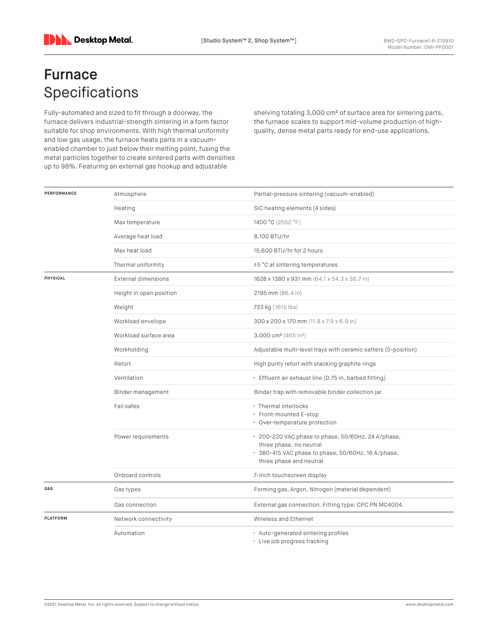## **Furnace** Specifications

Fully-automated and sized to fit through a doorway, the furnace delivers industrial-strength sintering in a form factor suitable for shop environments. With high thermal uniformity and low gas usage, the furnace heats parts in a vacuumenabled chamber to just below their melting point, fusing the metal particles together to create sintered parts with densities up to 98%. Featuring an external gas hookup and adjustable

shelving totaling 3,000 cm<sup>2</sup> of surface area for sintering parts, the furnace scales to support mid-volume production of highquality, dense metal parts ready for end-use applications.

| PERFORMANCE | Atmosphere                 | Partial-pressure sintering (vacuum-enabled)                                                                                                                    |
|-------------|----------------------------|----------------------------------------------------------------------------------------------------------------------------------------------------------------|
|             | Heating                    | SiC heating elements (4 sides)                                                                                                                                 |
|             | Max temperature            | 1400 °C (2552 °F)                                                                                                                                              |
|             | Average heat load          | 8.100 BTU/hr                                                                                                                                                   |
|             | Max heat load              | 15,600 BTU/hr for 2 hours                                                                                                                                      |
|             | Thermal uniformity         | ±5 °C at sintering temperatures                                                                                                                                |
| PHYSICAL    | <b>External dimensions</b> | 1628 x 1380 x 931 mm (64.1 x 54.3 x 36.7 in)                                                                                                                   |
|             | Height in open position    | 2195 mm (86.4 in)                                                                                                                                              |
|             | Weight                     | 733 kg (1615 lbs)                                                                                                                                              |
|             | Workload envelope          | 300 x 200 x 170 mm (11.8 x 7.9 x 6.9 in)                                                                                                                       |
|             | Workload surface area      | 3,000 cm <sup>2</sup> (465 in <sup>2</sup> )                                                                                                                   |
|             | Workholding                | Adjustable multi-level trays with ceramic setters (5-position)                                                                                                 |
|             | Retort                     | High purity retort with stacking graphite rings                                                                                                                |
|             | Ventilation                | · Effluent air exhaust line (0.75 in, barbed fitting)                                                                                                          |
|             | Binder management          | Binder trap with removable binder collection jar                                                                                                               |
|             | Fail safes                 | · Thermal interlocks<br>· Front-mounted E-stop<br>• Over-temperature protection                                                                                |
|             | Power requirements         | · 200-220 VAC phase to phase, 50/60Hz, 24 A/phase,<br>three phase, no neutral<br>· 380-415 VAC phase to phase, 50/60Hz, 16 A/phase,<br>three phase and neutral |
|             | Onboard controls           | 7-inch touchscreen display                                                                                                                                     |
| GAS         | Gas types                  | Forming gas, Argon, Nitrogen (material dependent)                                                                                                              |
|             | Gas connection             | External gas connection. Fitting type: CPC PN MC4004.                                                                                                          |
| PLATFORM    | Network connectivity       | Wireless and Ethernet                                                                                                                                          |
|             | Automation                 | · Auto-generated sintering profiles<br>· Live job progress tracking                                                                                            |